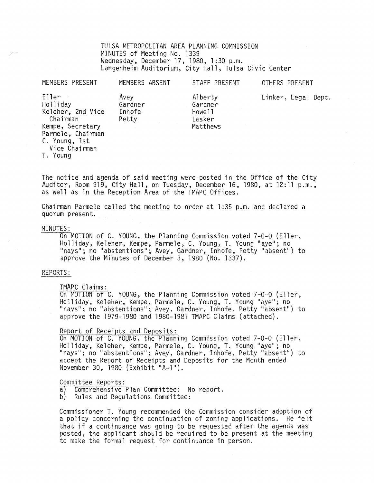TULSA METROPOLITAN AREA PLANNING COMMISSION MINUTES of Meeting No. 1339 Wednesday, December 17, 1980, 1:30 p.m. Langenheim Auditorium, City Hall, Tulsa Civic Center

| MEMBERS PRESENT                                                                                                                           | MEMBERS ABSENT                     | STAFF PRESENT                                       | OTHERS PRESENT      |  |
|-------------------------------------------------------------------------------------------------------------------------------------------|------------------------------------|-----------------------------------------------------|---------------------|--|
| Eller<br>Holliday<br>Keleher, 2nd Vice<br>Chairman<br>Kempe, Secretary<br>Parmele, Chairman<br>C. Young, 1st<br>Vice Chairman<br>T. Young | Avey<br>Gardner<br>Inhofe<br>Petty | Alberty<br>Gardner<br>Howe 11<br>Lasker<br>Matthews | Linker, Legal Dept. |  |

The notice and agenda of said meeting were posted in the Office of the City<br>Auditor, Room 919, City Hall, on Tuesday, December 16, 1980, at 12:11 p.m., as well as **in** the Reception Area of the TMAPC Offices.

Chairman Parmele called the meeting to order at 1 :35 p.m. and declared a quorum present.

#### MINUTES:

On MOTION of C. YOUNG, the Planning Commission voted 7-0-0 (Eller, Holliday, Keleher, Kempe, Parmele, C. Young, T. Young "aye"; no "nays"; no "abstentions"; Avey, Gardner, Inhofe, Petty "absent") to approve the Minutes of December 3, 1980 (No. 1337).

## REPORTS:

#### TMAPC Claims:

On MOTION of C. YOUNG, the Planning Commission voted 7-0-0 (Eller, Holliday, Keleher, Kempe, Parmele, C. Young, T. Young "aye"; no "nays"; no "abstentions"; Avey, Gardner, Inhofe, Petty "absent") to approve the 1979-1980 and 1980-1981 TMAPC Claims (attached).

## Report of Receipts and Deposits:

On MOTION of C. YOUNG, the Planning Commission voted 7-0-0 (Eller, Holliday, Keleher, Kempe, Parmele, C. Young, T. Young "aye"; no "nays"; no "abstentions"; Avey, Gardner, Inhofe, Petty "absent") to accept the Report of Receipts and Deposits for the Month ended November 30, 1980 (Exhibit "A-l").

# Committee Reports:<br>a) Comprehensive

- Comprehensive Plan Committee: No report.
- b) Rules and Regulations Committee:

Commissioner T. Young recommended the Commission consider adoption of a policy concerning the continuation of zoning applications. He felt that if a continuance was going to be requested after the agenda was posted, the applicant should be required to be present at the meeting to make the formal request for continuance in person.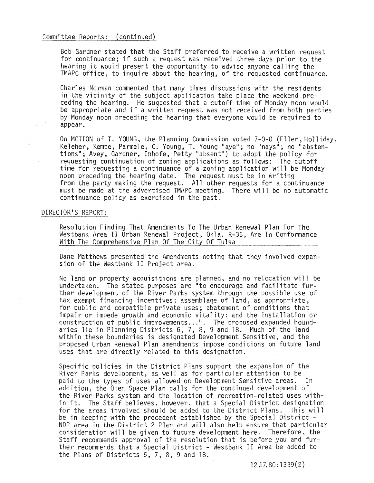## Committee Reports: (continued)

Bob Gardner stated that the Staff preferred to receive a written request for continuance; if such a request was received three days prior to the hearing it would present the opportunity to advise anyone calling the TMAPC office, to inquire about the hearing, of the requested continuance.

Charles Norman commented that many times discussions with the residents in the vicinity of the subject application take place the weekend preceding the hearing. He suggested that a cutoff time of Monday noon would be appropriate and if a written request was not received from both parties by Monday noon preceding the hearing that everyone would be required to appear.

On MOTION of T. YOUNG, the Planning Commission voted 7-0-0 (Eller, Holliday, Keleher, Kempe, Parmele, C. Young, T. Young "aye"; no "nays"; no "abstentions"; Avey, Gardner, Inhofe, Petty "absent") to adopt the policy for requesting continuation of zoning applications as follows: The cutoff time for requesting a continuance of a zoning application will be Monday noon preceding the hearing date. The request must be in writing from the party making the request. All other requests for a continuance must be made at the advertised TMAPC meeting. There will be no automatic continuance policy as exercised in the past.

## DIRECTOR'S REPORT:

Resolution Finding That Amendments To The Urban Renewal Plan For The Westbank Area II Urban Renewal Project, Okla. R-36, Are In Conformance With The Comprehensive Plan Of The City Of Tulsa

Dane Matthews presented the Amendments noting that they involved expan-<br>sion of the Westbank II Project area.

No land or property acquisitions are planned, and no relocation will be undertaken. The stated purposes are "to encourage and facilitate further development of the River Parks system through the possible use of tax exempt financing incentives; assemblage of land, as appropriate, for public and compatible private uses; abatement of conditions that impair or impede growth and economic vitality; and the installation or construction of public improvements...". The proposed expanded boundaries lie in Planning Districts 6, 7,8, 9 and 18. Much of the land within these boundaries is designated Development Sensitive, and the proposed Urban Renewal Plan amendments impose conditions on future land uses that are directly related to this designation.

Specific policies in the District Plans support the expansion of the River Parks development, as well as for particular attention to be paid to the types of uses allowed on Development Sensitive areas. In addition, the Open Space Plan calls for the continued development of the River Parks system and the location of recreation-related uses within it. The Staff believes, however, that a Special District designation for the areas involved should be added to the District Plans. This will<br>be in keeping with the precedent established by the Special District -NDP area in the District 2 Plan and will also help ensure that particular consideration will be given to future development here. Therefore, the Staff recommends approval of the resolution that is before you and further recommends that a Special District - Westbank II Area be added to the Plans of Districts 6, 7, 8, 9 and 18.

12.17.80: 1339(2)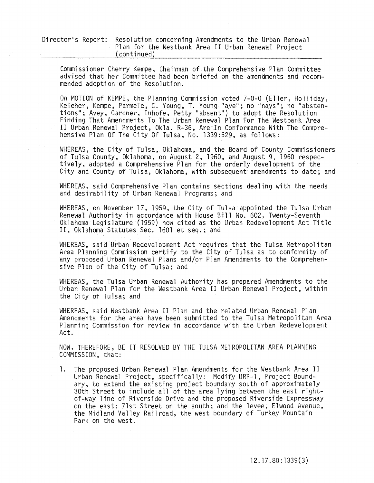|  |             |  | Director's Report: Resolution concerning Amendments to the Urban Renewal |
|--|-------------|--|--------------------------------------------------------------------------|
|  |             |  | Plan for the Westbank Area II Urban Renewal Project                      |
|  | (continued) |  |                                                                          |

Commissioner Cherry Kempe, Chairman of the Comprehensive Plan Committee advised that her Committee had been briefed on the amendments and recommended adoption of the Resolution.

On MOTION of KEMPE, the Planning Commission voted 7-0-0 (Eller, Holliday, Keleher, Kempe, Parmele, C. Young, T. Young "aye"; no "nays"; no "abstentions"; Avey, Gardner, Inhofe, Petty "absent") to adopt the Resolution Finding That Amendments To The Urban Renewal Plan For The Westbank Area II Urban Renewal Project, Okla. R-36, Are In Conformance With The Comprehensive Plan Of The City Of Tulsa, No. 1339:529, as follows:

WHEREAS, the City of Tulsa, Oklahoma, and the Board of County Commissioners of Tulsa County, Oklahoma, on August 2, 1960, and August 9, 1960 respectively, adopted a Comprehensive Plan for the orderly development of the City and County of Tulsa, Oklahoma, with subsequent amendments to date; and

WHEREAS, said Comprehensive Plan contains sections dealing with the needs and desirability of Urban Renewal Programs; and

WHEREAS, on November 17, 1959, the City of Tulsa appointed the Tulsa Urban Renewal Authority in accordance with House Bill No. 602, Twenty-Seventh Oklahoma Legislature (1959) now cited as the Urban Redevelopment Act Title II, Oklahoma Statutes Sec. 1601 et seq.: and

WHEREAS, said Urban Redevelopment Act requires that the Tulsa Metropolitan Area Planning Commission certify to the City of Tulsa as to conformity of any proposed Urban Renewal Plans and/or Plan Amendments to the Comprehensive Plan of the City of Tulsa; and

WHEREAS, the Tulsa Urban Renewal Authority has prepared Amendments to the Urban Renewal Plan for the Westbank Area II Urban Renewal Project, within the City of Tulsa; and

WHEREAS, said Westbank Area II Plan and the related Urban Renewal Plan Amendments for the area have been submitted to the Tulsa Metropolitan Area Planning Commission for review in accordance with the Urban Redevelopment Act.

NOW, THEREFORE, BE IT RESOLVED BY THE TULSA METROPOLITAN AREA PLANNING COMMISSION, that:

The proposed Urban Renewal Plan Amendments for the Westbank Area II  $\mathbf{1}$ . Urban Renewal Project, specifically: Modify URP-1, Project Boundary, to extend the existing project boundary south of approximately 30th Street to include all of the area lying between the east rightof-way line of Riverside Drive and the proposed Riverside Expressway on the east; 71st Street on the south; and the levee, Elwood Avenue, the Midland Valley Railroad, the west boundary of Turkey Mountain Park on the west.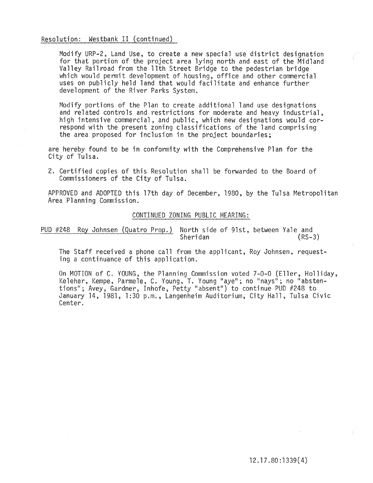## Resolution: Westbank II (continued)

Modify URP-2, Land Use, to create a new special use district designation for that portion of the project area lying north and east of the Midland Valley Railroad from the 11th Street Bridge to the pedestrian bridge which would permit development of housing, office and other commercial uses on publicly held land that would facilitate and enhance further development of the River Parks System.

Modify portions of the Plan to create additional land use designations and related controls and restrictions for moderate and heavy industrial, high intensive commercial, and public, which new designations would correspond with the present zoning classifications of the land comprising the area proposed for inclusion in the project boundaries;

are hereby found to be in conformity with the Comprehensive Plan for the City of Tulsa.

2. Certified copies of this Resolution shall be forwarded to the Board of Commissioners of the City of Tulsa.

APPROVED and ADOPTED this 17th day of December, 1980, by the Tulsa Metropolitan Area Planning Commission.

#### CONTINUED ZONING PUBLIC HEARING:

PUD #248 Roy Johnsen (Quatro Prop.) North side of 91st, between Yale and Sheridan (RS-3)

The Staff received a phone call from the applicant, Roy Johnsen, requesting a continuance of this application.

On MOTION of C. YOUNG, the Planning Commission voted 7-0-0 (Eller, Holliday, Keleher, Kempe, Parmele, C. Young, T. Young "aye"; no "nays"; no "abstentions"; Avey, Gardner, Inhofe, Petty "absent") to continue PUD #248 to January 14, 1981, 1:30 p.m., Langenheim Auditorium, City Hall, Tulsa Civic Center.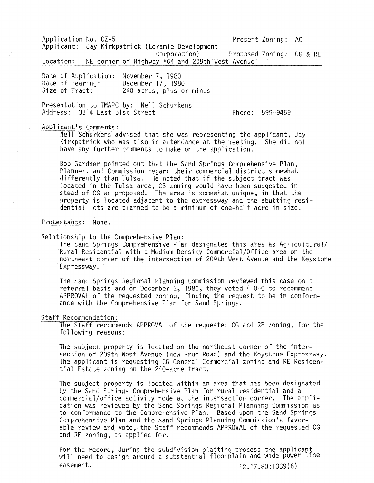Application No. CZ-5 Present Zoning: AG

Applicant: Jay Kirkpatrick (Loramie Development Proposed Zoning: CG & RE Location: NE corner of Highway #64 and 209th West Avenue

Date of Application: November 7, 1980 Date of Hearing: Size of Tract: December 17, 1980 240 acres, plus or minus

Presentation to TMAPC by: Nell Schurkens Address: 3314 East 51st Street

Phone: 599-9469

Applicant's Comments:

Nell Schurkens advised that she was representing the applicant, Jay Kirkpatrick who was also in attendance at the meeting. She did not have any further comments to make on the application.

Bob Gardner pointed out that the Sand Springs Comprehensive Plan, Planner, and Commission regard their commercial district somewhat differently than Tulsa. He noted that if the subject tract was located in the Tulsa area, CS zoning would have been suggested instead of CG as proposed. The area is somewhat unique, in that the property is located adjacent to the expressway and the abutting residential lots are planned to be a minimum of one-half acre in size.

#### Protestants: None.

#### Relationship to the Comprehensive Plan:

The Sand Springs Comprehensive Plan designates this area as Agricultural/ Rural Residential with a Medium Density Commercial/Office area on the northeast corner of the intersection of 209th West Avenue and the Keystone Expressway.

The Sand Springs Regional Planning Commission reviewed this case on a referral basis and on December 2, 1980, they voted 4-0-0 to recommend APPROVAL of the requested zoning, finding the request to be in conformance with the Comprehensive Plan for Sand Springs.

#### Staff Recommendation:

The Staff recommends APPROVAL of the requested CG and RE zoning, for the following reasons:

The subject property is located on the northeast corner of the intersection of 209th West Avenue (new Prue Road) and the Keystone Expressway. The applicant is requesting CG General Commercial zoning and RE Residential Estate zoning on the 240-acre tract.

The subject property is located within an area that has been designated by the Sand Springs Comprehensive Plan for rural residential and a commercial/office activity node at the intersection corner. The application was reviewed by the Sand Springs Regional Planning Commission as to conformance to the Comprehensive Plan. Based upon the Sand Springs Comprehensive Plan and the Sand Springs Planning Commission's favorable review and vote, the Staff recommends APPROVAL of the requested CG and RE zoning, as applied for.

For the record, during the subdivision platting process the applicant will need to design around a substantial floodplain and wide power line easement. 12.17.80:1339(6)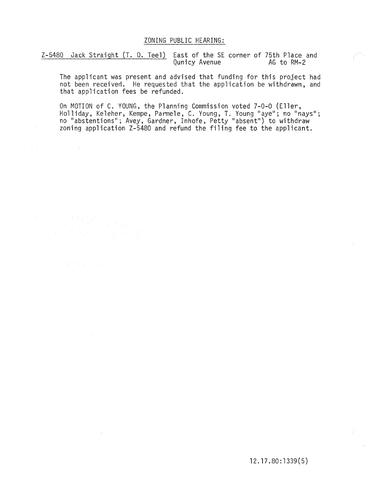## ZONING PUBLIC HEARING:

Z-5480 Jack Straight (T. O. Teel) East of the SE corner of 75th Place and Qunicy Avenue

The applicant was present and advised that funding for this project had not been received. He requested that the application be withdrawn, and that application fees be refunded.

On MOTION of C. YOUNG, the Planning Commission voted 7-0-0 (Eller, Holliday, Keleher, Kempe, Parmele, C. Young, T. Young "aye"; no "nays"; no "abstentions"; Avey, Gardner, Inhofe, Petty "absent") to withdraw zoning application Z-5480 and refund the filing fee to the applicant.

e.<br>Roj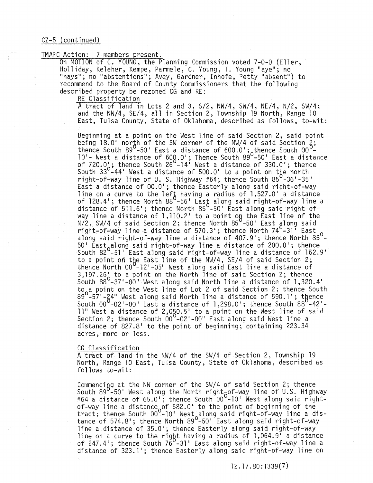CZ-5 (continued)

TMAPC Action: 7 members present.

On MOTION of C. YOUNG, the Planning Commission voted 7-0-0 (Eller, Holliday, Keleher, Kempe, Parmele, C. Young, T. Young "aye"; no "nays"; no "abstentions"; Avey, Gardner, Inhofe, Petty "absent") to recommend to the Board of County Commissioners that the following described property be rezoned CG and RE:

RE Classification

A tract of land in Lots 2 and 3, S/2, NW/4, SW/4, NE/4, N/2, SW/4; and the NW/4, SE/4, all in Section 2, Township 19 North, Range 10 East, Tulsa County, State of Oklahoma, described as follows, to-wit:

Beginning at a point on the West line of said Section 2, said point being 18.0' north of the SW corner of the NW/4 of said Section 2; thence South 89<sup>0</sup>-50' East a distance of 600.0'; thence South 00<sup>0</sup>-<br>10'- West a distance of 60Q.0'; Thence South 89<sup>0</sup>-50' East a distance of 720.0 $^{\prime}$ ; thence South 26<sup>0</sup>-14' West a distance of 330.0'; thence South 33 $9-44$ ' West a distance of 500.0' to a point on the north right-of-way line of U. S. Highway  $#64$ ; thence South  $85^{\circ}$ -36'-35" East a distance of 00.0'; thence Easterly along said right-of-way line on a curve to the left having a radius of  $1,527.0$ ' a distance of 128.4'; thence North 88 $^{\sf o}$ -56' Eas $\sharp$  along said right-of-way line a distance of 511.6'; thence North 85<sup>0</sup>-50' East along said right-ofway line a distance of 1,110.2' to a point on the East line of the  $\,$ N/2, SW/4 of said Section 2; thence North 85 $^{\sf o}$ -50' East glong said right-of-way line a distance of  $570.3'$ ; thence North  $74^{\circ}$ -31' East o along said right-of-way line a distance of  $407.9'$ ; thence North  $85^{\circ}$ along said right-of-way line a distance of 407.9'; thence North 85<sup>0</sup>-<br>50' East<sub>o</sub>along said right-of-way line a distance of 200.0'; thence South 82<sup>0</sup>-51' East along said right-of-way line a distance of 162.9' to a point on the East line of the NW/4, SE/4 of said Section 2; thence North 00<sup>0</sup>-12'-05" West along said East line a distance of  $3,197.26<sub>o</sub>$  to a point on the North line of said Section 2; thence South  $88^{\sf o}$ -37'-00" West along said North line a distance of 1,320.4' to a point on the West line of Lot 2 of said Section 2; thence South  $89^0$ -57'-24" West along said North line a distance of 590.1'; thence South  $00^{\circ}$ -02'-00" East a distance of 1,298.0'; thence South  $88^{\circ}$ -42'-11" West a distance of  $2,050.5'$  to a point on the West line of said Section 2; thence South 00<sup>0</sup>-02'-00" East along said West line a distance of 827.8' to the point of beginning; containing 223.34 acres, more or less.

#### CG Classification

A tract of land in the NW/4 of the SW/4 of Section 2, Township 19 North, Range 10 East, Tulsa County, State of Oklahoma, described as follows to-wit:

Commencigg at the NW corner of the SW/4 of said Section 2; thence South 89<sup>0</sup>-50' West along the North right<sub>r</sub>of-way line of U.S. Highway essuch by the controller in the controller way that of sixthe magnitudes and rightof-way line a distance of 582.0' to the point of beginning of the tract; thence South 00<sup>0</sup>-10' West along said right-of-way line a distance of 574.8'; thence North 89<sup>0</sup>-50' East along said right-of-way line a distance of 35.0'; thence Easterly along said right-of-way line on a curve to the right having a radius of  $1,064.9^{\circ}$  a distance of 247.4'; thence South 76<sup>0</sup>-31' East along said right-of-way line a distance of 323. 1'; thence Easterly along said right-of-way line on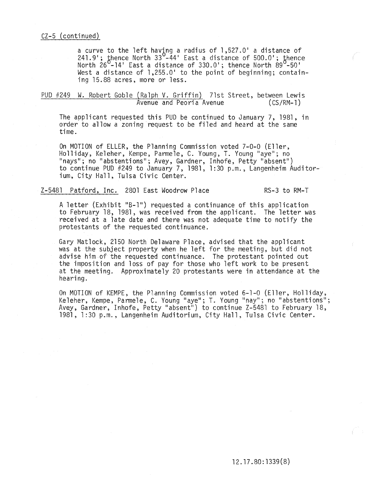## CZ-5 (continued)

a curve to the left having a radius of 1,527.0' a distance of  $241.9$ ; thence North  $33^{\circ}$ -44' East a distance of 500.0'; thence North  $26^0$ -14' East a distance of 330.0'; thence North  $89^0$ -50' West a distance of  $1,255.0'$  to the point of beginning; containing 15.88 acres, more or less.

## PUD #249 W. Robert Goble (Ralph V. Griffin) 71st Street, between Lewis Avenue and Peoria Avenue (CS/RM-l)

The applicant requested this PUD be continued to January 7, 1981, in order to allow a zoning request to be filed and heard at the same time.

On MOTION of ELLER, the Planning Commission voted 7-0-0 (Eller, Holliday, Keleher, Kempe, Parmele, C. Young, T. Young "aye"; no "nays"; no "abstentions"; Avey, Gardner, Inhofe, Petty "absent") to continue PUD #249 to January 7, 1981, 1:30 p.m., Langenheim Auditorium, City Hall, Tulsa Civic Center.

## Z-5481 Patford, Inc. 2801 East Woodrow Place RS-3 to RM-T

A letter (Exhibit "B-1") requested a continuance of this application to February 18, 1981, was received from the applicant. The letter was received at a late date and there was not adequate time to notify the protestants of the requested continuance.

Gary Matlock, 2150 North Delaware Place, advised that the applicant was at the subject property when he left for the meeting, but did not advise him of the requested continuance. The protestant pointed out the imposition and loss of pay for those who left work to be present at the meeting. Approximately 20 protestants were in attendance at the hearing.

On MOTION of KEMPE, the Planning Commission voted 6-1-0 (Eller, Holliday, Keleher, Kempe, Parmele, C. Young "aye"; T. Young "nay"; no "abstentions"; Avey, Gardner, Inhofe, Petty "absent") to continue Z-5481 to February 18, 1981,1:30 p.m., Langenheim Auditorium, City Hall, Tulsa Civic Center.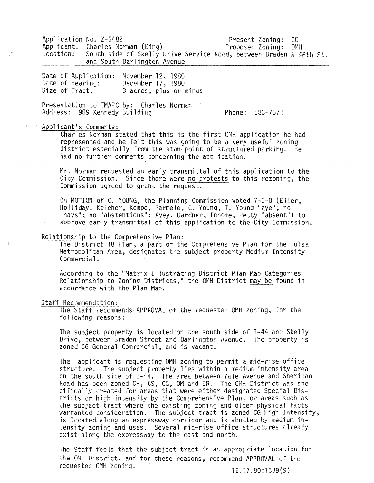Application No. Z-5482<br>Applicant: Charles Norman (King) Applicant: Charles Norman (King) Location: South side of Skelly Drive Service Road, between Braden & 46th St. and South Darlington Avenue Present Zoning: CG Proposed Zoning: OMH

Date of Application: November 12, 1980 Date of Hearing: Size of Tract: December 17, 1980 3 acres, plus or minus

Presentation to TMAPC by: Charles Norman Address: 909 Kennedy Building

Phone: 583-7571

Applicant's Comments:

Charles Norman stated that this is the first OMH application he had represented and he felt this was going to be a very useful zoning district especially from the standpoint of structured parking. He had no further comments concerning the application.

Mr. Norman requested an early transmittal of this application to the City Commission. Since there were no protests to this rezoning, the Commission agreed to grant the request.

On MOTION of C. YOUNG, the Planning Commission voted 7-0-0 (Eller, Holliday, Keleher, Kempe, Parmele, C. Young, 1. Young "aye"; no "nays"; no "abstentions"; Avey, Gardner, Inhofe, Petty "absent") to approve early transmittal of this application to the City Commission.

#### Relationship to the Comprehensive Plan:

The District 18 Plan, a part of the Comprehensive Plan for the Tulsa Metropolitan Area, designates the subject property Medium Intensity Commerci a 1.

According to the "Matrix Illustrating District Plan Map Categories Relationship to Zoning Districts," the OMH District may be found in accordance with the Plan Map.

## Staff Recommendation:

The Staff recommends APPROVAL of the requested OMH zoning, for the following reasons:

The subject property is located on the south side of 1-44 and Skelly Drive, between Braden Street and Darlington Avenue. The property is zoned CG General Commercial, and is vacant.

The applicant is requesting OMH zoning to permit a mid-rise office structure. The subject property lies within a medium intensity area on the south side of I-44. The area between Yale Avenue and Sheridan Road has been zoned CH, CS, CG, OM and IR. The OMH District was spe-<br>cifically created for areas that were either designated Special Discifically created for areas that were either designated Special Dis-<br>tricts or high intensity by the Comprehensive Plan, or areas such as the subject tract where the existing zoning and older physical facts warranted consideration. The subject tract is zoned CG High Intensity, is located along an expressway corridor and is abutted by medium intensity zoning and uses. Several mid-rise office structures already exist along the expressway to the east and north.

The Staff feels that the subject tract is an appropriate location for the OMH District, and for these reasons, recommend APPROVAL of the requested OMH zoning. 12.17.80:1339(9)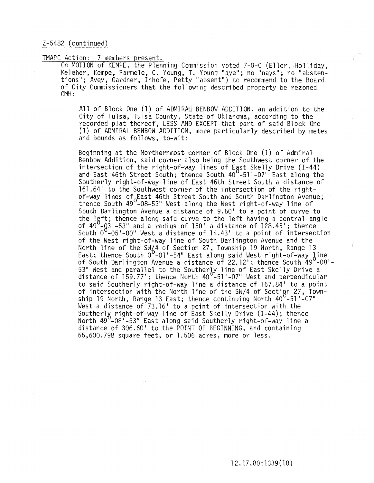## Z-5482 (continued)

TMAPC Action: 7 members present.

On MOTION of KEMPE, the Planning Commission voted 7-0-0 (Eller, Holliday, Keleher, Kempe, Parmele, C. Young, T. Young "aye"; no "nays"; no "abstentions"; Avey, Gardner, Inhofe, Petty "absent") to recommend to the Board of City Commissioners that the following described property be rezoned  $OMH:$ 

All of Block One (1) of ADMIRAL BENBOW ADDITION, an addition to the City of Tulsa, Tulsa County, State of Oklahoma, according to the recorded plat thereof, LESS AND EXCEPT that part of said Block One (1) of ADMIRAL BENBOW ADDITION, more particularly described by metes and bounds as  $f$ ollows, to-wit:

Beginning at the Northernmost corner of Block One (1) of Admiral Benbow Addition, said corner also being the Southwest corner of the intersection of the right-of-way lines of East Skelly Drive (I-44) and East 46th Street South; thence South 40<sup>0</sup>-51'-07" East along the Southerly right-of-way line of East 46th Street South a distance of 161.64' to the Southwest corner of the intersection of the rightof-way lines of East 46th Street South and South Darlington Avenue; thence South 49<sup>0</sup>-08-53" West along the West right-of-way line of South Darlington Avenue a distance of 9.60' to a point of curve to the left; thence along said curve to the left having a central angle of 49<sup>0</sup>-031-53" and a radius of 150' a distance of 128.45'; thence South 0 -05'-00" West a distance of 14.43 1 to a point of intersection of the West right-of-way line of South Darlington Avenue and the North line of the SW64 of Section 27, Township 19 North, Range 13 East; thence South O<sup>0</sup>-Ol'-54" East along said West right-of-way line<br>of South Darlington Avenue a distance of 22.12'; thence South 49<sup>0</sup>-08' of South Darlington Avenue a distance of 22.12'; thence South 49<sup>0</sup>-08'-<br>53" West and parallel to the Souther<u>l</u>y line of East Skelly Drive a distance of 159.77'; thence North 40<sup>0</sup>-51'-07" West and perpendicular to said Southerly right-of-way line a distance of 167.84' to a point of intersection with the North line of the SW/4 of Section 27, Township 19 North, Range 13 East; thence continuing North  $40^{\circ}$ -51'-07" West a distance of 73.16' to a point of intersection with the Southerly right-of-way line of East Skelly Drive  $(I-44)$ ; thence North 49<sup>0</sup>-08<sup>ï</sup>-53" East along said Southerly right-of-way line a distance of 306.60' to the POINT OF BEGINNING, and containing 65,600.798 square feet, or 1.506 acres, more or less.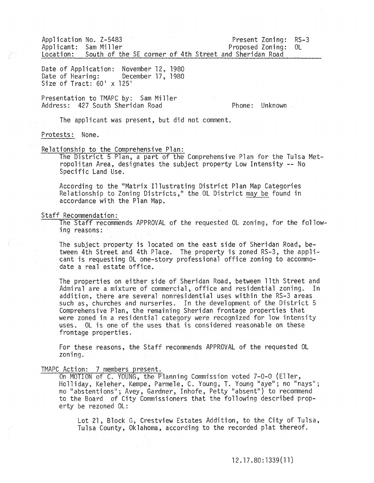Application No. Z-5483 Application No. 2-5483<br>Applicant: Sam Miller Reserved Benedicts and Proposed Zoning: OL Applicant: Sam Miller Location: South of the SE corner of 4th Street and Sheridan Road

Date of Application: November 12, 1980<br>Date of Hearing: December 17, 1980 December 17, 1980 Size of Tract: 60' x 125'

Presentation to TMAPC by: Sam Miller Address: 427 South Sheridan Road

Phone: Unknown

The applicant was present, but did not comment.

Protests: None.

Relationship to the Comprehensive Plan:

The District 5 Plan, a part of the Comprehensive Plan for the Tulsa Metropolitan Area, designates the subject property Low Intensity **--** No Specific Land Use.

According to the "Matrix Illustrating District Plan Map Categories Relationship to Zoning Districts," the OL District may be found in accordance with the Plan Map.

#### Staff Recommendation:

The Staff recommends APPROVAL of the requested OL zoning, for the following reasons:

The subject property is located on the east side of Sheridan Road, between 4th Street and 4th Place. The property is zoned RS-3, the applicant is requesting OL one-story professional office zoning to accommodate a real estate office.

The properties on either side of Sheridan Road, between 11th Street and Admiral are a mixture of commercial, office and residential zoning. In addition. there are several nonresidential uses within the RS-3 areas such as, churches and nurseries. In the development of the District 5 Comprehensive Plan, the remaining Sheridan frontage properties that were zoned in a residential category were recognized for low intensity uses. OL is one of the uses that is considered reasonable on these frontage properties.

For these reasons, the Staff recommends APPROVAL of the requested OL zoning.

#### TMAPC Action: 7 members present.

On MOTION of C. YOUNG, the Planning Commission voted 7-0-0 (Eller, Holliday, Keleher, Kempe, Parmele, C. Young, T. Young "aye"; no "nays"; no "abstentions"; Avey, Gardner, Inhofe, Petty "absent") to recommend to the Board of City Commissioners that the following described property be rezoned OL:

Lot 21, Block G, Crestview Estates Addition, to the City of Tulsa, Tulsa County, Oklahoma, according to the recorded plat thereof.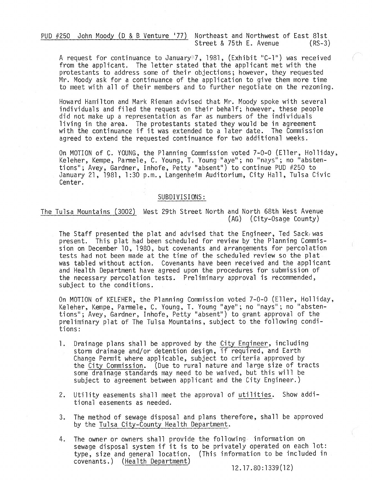PUD #250 John Moody (D & B Venture '77) Northeast and Northwest of East 81st<br>Street & 75th E. Avenue (RS-3) Street & 75th E. Avenue

A request for continuance to January 7, 1981, (Exhibit "C-1") was received from the applicant. The letter stated that the applicant met with the protestants to address some of their objections; however, they requested Mr. Moody ask for a continuance of the application to give them more time to meet with all of their members and to further negotiate on the rezoning.

Howard Hamilton and Mark Rieman advised that Mr. Moody spoke with several individuals and filed the request on their behalf; however, these people did not make up a representation as far as numbers of the individuals<br>living in the area. The protestants stated they would be in agreement with the continuance if it was extended to a later date. The Commission agreed to extend the requested continuance for two additional weeks,

On MOTION of C. YOUNG, the Planning Commission voted 7-0-0 (Eller, Holliday, Keleher, Kempe, Parmele, C. Young, T. Young "aye"; no "nays"; no "abstentions"; Avey, Gardner, Inhofe, Petty "absent") to continue PUD #250 to January 21, 1981, 1:30 p.m., Langenheim Auditorium, City Hall, Tulsa Civic Center.

#### SUBDIVISIONS:

The Tulsa Mountains (3002) West 29th Street North and North 68th West Avenue (AG) (City-Osage County)

The Staff presented the plat and advised that the Engineer, Ted Sack, was present. This plat had been scheduled for review by the Planning Commission on December 10, 1980, but covenants and arrangements for percolation tests had not been made at the time of the scheduled review so the plat and Health Department have agreed upon the procedures for submission of the necessary percolation tests. Preliminary approval is recommended, subject to the conditions.

On MOTION of KELEHER, the Planning Commission voted 7-0-0 (Eller, Holliday, Keleher, Kempe, Parmele, C. Young, T. Young "aye"; no "nays"; no "abstentions"; Avey, Gardner, Inhofe, Petty "absent") to grant approval of the preliminary plat of The Tulsa Mountains, subject to the following condi tions:

- 1. Drainage plans shall be approved by the City Engineer, including storm drainage and/or detention design, if required, and Earth<br>Change Permit where applicable, subject to criteria approved by the City Commission. (Due to rural nature and large size of tracts some drainage standards may need to be waived, but this will be subject to agreement between applicant and the City Engineer.)
- 2. Utility easements shall meet the approval of utilities. Show additional easements as needed.
- 3. The method of sewage disposal and plans therefore, shall be approved by the Tulsa City-County Health Department.
- 4. The owner or owners shall provide the following information on sewage disposal system if it is to be privately operated on each lot: type, size and general location. (This information to be included in covenants.) (Health Department) 12.17.80:1339(12)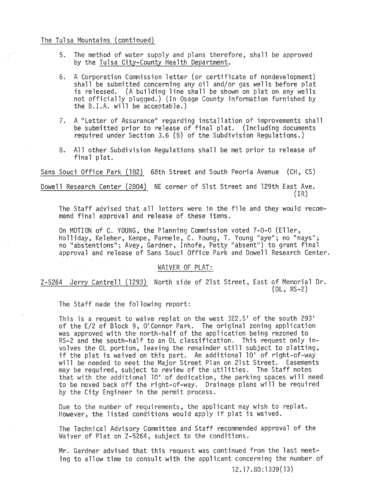## The Tulsa Mountains (continued)

- 5. The method of water supply and plans therefore, shall be approved by the Tulsa CitY-County Health Department.
- 6. A Corporation Commission letter (or certificate of nondevelopment) shall be submitted concerning any oil and/or gas wells before plat is released. (A building line shall be shown on plat on any wells not officially plugged.) (In Osage County information furnished by the B.I.A. will be acceptable.)
- 7. A "Letter of Assurance" regarding installation of improvements shall be submitted prior to release of final plat. (Including documents required under Section 3.6 (5) of the Subdivision Regulations.)
- 8. All other Subdivision Regulations shall be met prior to release of final plat.

Sans Souci Office Park (182) 68th Street and South Peoria Avenue (CH, CS)

Dowell Research Center (2804) NE corner of 51st Street and 129th East Ave.  $(IR)$ 

The Staff advised that all letters were in the file and thev would recommend final approval and release of these items.

On MOTION of C. YOUNG, the Planning Commission voted 7-0-0 (Eller, Holliday, Keleher, Kempe, Parmele, C. Young, T. Young "aye"; no "nays"; no "abstentions"; Avey, Gardner, Inhofe, Petty "absent") to grant final approval and release of Sans Souci Office Park and Dowell Research Center.

#### WAIVER OF PLAT:

Z-5264 Jerry Cantrell (1293) North side of 21st Street, East of Memorial Dr. (OL, RS-2)

The Staff made the following report:

This is a request to waive replat on the west  $322.5'$  of the south 293' of the E/2 of Block 9, 0% Connor Park. The original zoning application was approved with the north-half of the application being rezoned to RS-2 and the south-half to an OL classification, This request only involves the OL portion, leaving the remainder still subject to platting, if the plat is waived on this part. An additional 10' of right-of-way will be needed to meet the Major Street Plan on 21st Street. Easements may be required, subject to review of the utilities. The Staff notes that with the additional 10 1 of dedication, the parking spaces will need to be moved back off the right-of-way. Drainage plans will be required by the City Engineer in the permit process.

Due to the number of requirements, the applicant may wish to replat. However, the listed conditions would apply if plat is waived.

The Technical Advisory Committee and Staff recommended approval of the Waiver of Plat on Z-5264, subject to the conditions.

Mr. Gardner advised that this request was continued from the last meeting to allow time to consult with the applicant concerning the number of

12.17.80:1339(13)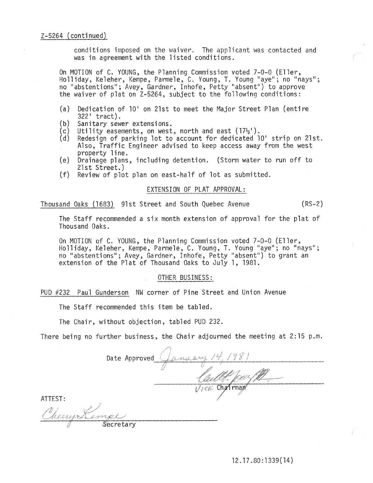conditions imposed on the waiver. The applicant was contacted and was in agreement with the listed conditions.

On MOTION of C. YOUNG, the Planning Commission voted 7-0-0 (Eller, Holliday, Keleher, Kempe, Parmele, C. Young, T. Young "aye"; no "nays"; no "abstentions"; Avey, Gardner, Inhofe, Petty "absent") to approve the waiver of plat on Z-5264, subject to the following conditions:

- (a) Dedication of 10' on 21st to meet the Major Street Plan (entire 322' tract).
- (b) Sanitary sewer extensions.
- $(c)$  Utility easements, on west, north and east  $(17\frac{1}{2})$ .
- (d) Redesign of parking lot to account for dedicated 10' strip on 21st. Also, Traffic Engineer advised to keep access away from the west property line.
- (e) Drainage plans, including detention. (Storm water to run off to 21st Street.)
- (f) Review of plot plan on east-half of lot as submitted.

## EXTENSION OF PLAT APPROVAL:

Thousand Oaks (1683) 91st Street and South Quebec Avenue (RS-2)

The Staff recommended a six month extension of approval for the plat of Thousand Oaks.

On MOTION of C. YOUNG, the Planning Commission voted 7-0-0 (Eller, Holliday, Keleher, Kempe, Parmele, C. Young, T. Young "aye"; no "nays"; no "abstentions"; Avey, Gardner, Inhofe, Petty "absent") to grant an extension of the Plat of Thousand Oaks to July 1, 1981.

#### OTHER BUSINESS:

PUD #232 Paul Gunderson NW corner of Pine Street and Union Avenue

The Staff recommended this item be tabled.

The Chair, without objection, tabled PUD 232.

There being no further business, the Chair adjourned the meeting at 2:15 p.m.

ther business,

ATTEST:<br>Cherry Kempe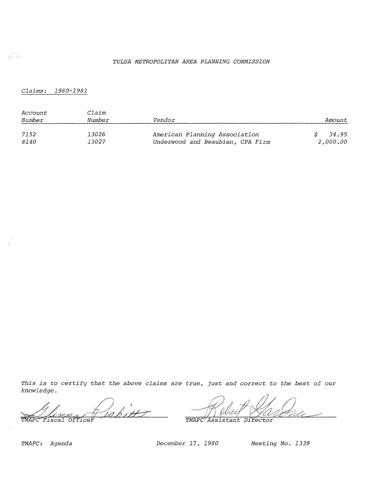## *TULSA METROPOLITAN AREA PLANNING COMMISSION*

*Claims: 1980-1981* 

| Account       | Claim  |                                  |                 |
|---------------|--------|----------------------------------|-----------------|
| <i>Number</i> | Number | Vendor                           | Amount          |
|               |        |                                  |                 |
| 7152          | 13026  | American Planning Association    | $5 \quad 34.95$ |
| <i>8140</i>   | 13027  | Underwood and Beaubien, CPA Firm | 2,000.00        |

*'I'his is* to *certify that the above claims are true, just and correct* to *the best of our knowledge.* 

Papett TMAPC Fisca

TMAPC<sup>V</sup>ASSistant Director

*TMAPC: Agenda December* 17, *1980 Meeting No. 1339*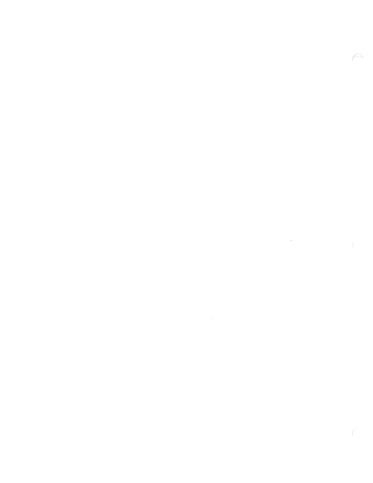$\int_0^\infty \mathrm{d}x$